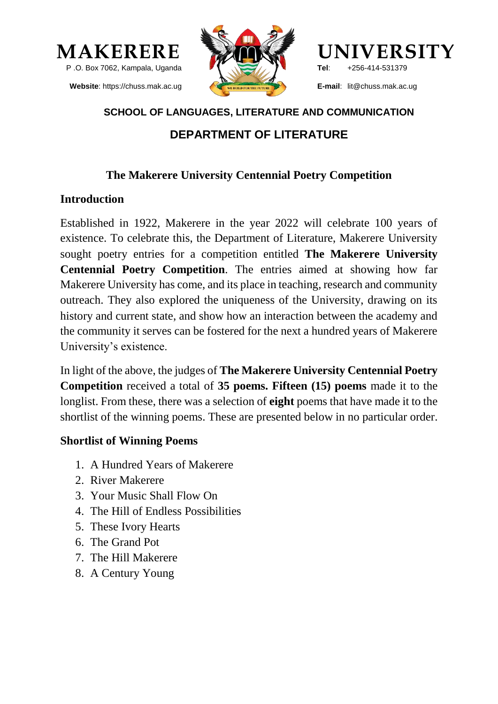

**Website**: https://chuss.mak.ac.ug





**E-mail**: lit@chuss.mak.ac.ug

#### **SCHOOL OF LANGUAGES, LITERATURE AND COMMUNICATION**

# **DEPARTMENT OF LITERATURE**

## **The Makerere University Centennial Poetry Competition**

### **Introduction**

Established in 1922, Makerere in the year 2022 will celebrate 100 years of existence. To celebrate this, the Department of Literature, Makerere University sought poetry entries for a competition entitled **The Makerere University Centennial Poetry Competition**. The entries aimed at showing how far Makerere University has come, and its place in teaching, research and community outreach. They also explored the uniqueness of the University, drawing on its history and current state, and show how an interaction between the academy and the community it serves can be fostered for the next a hundred years of Makerere University's existence.

In light of the above, the judges of **The Makerere University Centennial Poetry Competition** received a total of **35 poems. Fifteen (15) poems** made it to the longlist. From these, there was a selection of **eight** poems that have made it to the shortlist of the winning poems. These are presented below in no particular order.

### **Shortlist of Winning Poems**

- 1. A Hundred Years of Makerere
- 2. River Makerere
- 3. Your Music Shall Flow On
- 4. The Hill of Endless Possibilities
- 5. These Ivory Hearts
- 6. The Grand Pot
- 7. The Hill Makerere
- 8. A Century Young